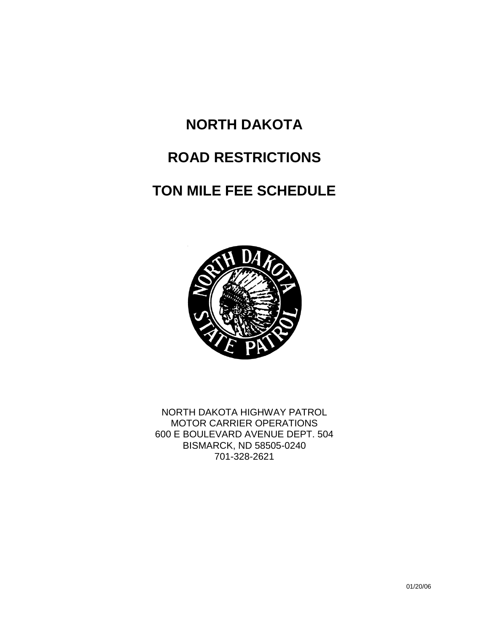# **NORTH DAKOTA ROAD RESTRICTIONS TON MILE FEE SCHEDULE**



NORTH DAKOTA HIGHWAY PATROL MOTOR CARRIER OPERATIONS 600 E BOULEVARD AVENUE DEPT. 504 BISMARCK, ND 58505-0240 701-328-2621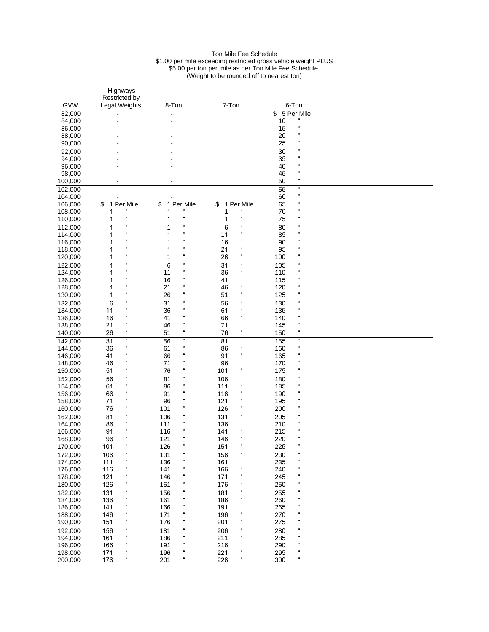#### Ton Mile Fee Schedule \$1.00 per mile exceeding restricted gross vehicle weight PLUS \$5.00 per ton per mile as per Ton Mile Fee Schedule. (Weight to be rounded off to nearest ton)

|                    | Highways                                                       |                                                                |                                                                |                                                                |  |
|--------------------|----------------------------------------------------------------|----------------------------------------------------------------|----------------------------------------------------------------|----------------------------------------------------------------|--|
| <b>GVW</b>         | <b>Restricted by</b><br>Legal Weights                          | 8-Ton                                                          | 7-Ton                                                          | 6-Ton                                                          |  |
| 82,000             |                                                                |                                                                |                                                                | \$<br>5 Per Mile                                               |  |
| 84,000             |                                                                |                                                                |                                                                | $\mathfrak{c}\mathfrak{c}$<br>10                               |  |
| 86,000             |                                                                |                                                                |                                                                | $\mathfrak{c}\mathfrak{c}$<br>15                               |  |
| 88,000             |                                                                |                                                                |                                                                | $\mathfrak{c}$<br>20                                           |  |
| 90,000             |                                                                |                                                                |                                                                | $\mathfrak{c}\mathfrak{c}$<br>25                               |  |
| 92,000             |                                                                |                                                                |                                                                | $\boldsymbol{\mathfrak{u}}$<br>30                              |  |
| 94,000             |                                                                |                                                                |                                                                | $\mathfrak{c}\mathfrak{c}$<br>35                               |  |
| 96,000             |                                                                |                                                                |                                                                | $\mathfrak{c}\mathfrak{c}$<br>40<br>$\mathfrak{c}\mathfrak{c}$ |  |
| 98,000             |                                                                |                                                                |                                                                | 45<br>$\boldsymbol{\mu}$                                       |  |
| 100,000            | $\blacksquare$                                                 |                                                                |                                                                | 50<br>$\boldsymbol{\mathfrak{u}}$                              |  |
| 102,000<br>104,000 |                                                                |                                                                |                                                                | 55<br>$\mathfrak{c}\mathfrak{c}$<br>60                         |  |
| 106,000            | 1 Per Mile<br>\$                                               | Per Mile<br>\$<br>1                                            | 1 Per Mile<br>\$                                               | $\mathfrak{c}\mathfrak{c}$<br>65                               |  |
| 108,000            | $\epsilon$                                                     | $\mathfrak{c}$<br>1                                            | $\epsilon\epsilon$<br>1                                        | $\epsilon$<br>70                                               |  |
| 110,000            | $\pmb{\mathfrak{c}}$<br>1                                      | $\mathfrak{c}\mathfrak{c}$<br>1                                | $\mathfrak{c}\mathfrak{c}$<br>1                                | $\mathfrak{c}\mathfrak{c}$<br>75                               |  |
| 112,000            | $\mathfrak{c}\mathfrak{c}$<br>1                                | $\mathfrak{c}\mathfrak{c}$<br>1                                | 6<br>$\mathfrak{c}\mathfrak{c}$                                | $\boldsymbol{\mathfrak{u}}$<br>80                              |  |
| 114,000            | $\mathfrak{c}\mathfrak{c}$<br>1                                | $\boldsymbol{\mathfrak{c}}$<br>1                               | $\mathfrak{c}\mathfrak{c}$<br>11                               | $\mathfrak{c}\mathfrak{c}$<br>85                               |  |
| 116,000            | $\epsilon$<br>1                                                | $\mathfrak{c}\mathfrak{c}$<br>1                                | $\mathfrak{c}\mathfrak{c}$<br>16                               | $\mathfrak{c}\mathfrak{c}$<br>90                               |  |
| 118,000            | $\epsilon$<br>1                                                | $\epsilon$<br>1                                                | $\mathfrak{c}\mathfrak{c}$<br>21                               | $\mathfrak{c}$<br>95                                           |  |
| 120,000            | $\mathfrak{c}\mathfrak{c}$<br>1                                | $\mathfrak{c}\mathfrak{c}$<br>1                                | $\mathfrak{c}\mathfrak{c}$<br>26                               | $\boldsymbol{\mathfrak{c}}$<br>100                             |  |
| 122,000            | $\mathfrak{a}$<br>1<br>$\mathfrak{c}\mathfrak{c}$              | $\boldsymbol{\mathfrak{u}}$<br>6<br>$\mathfrak{c}\mathfrak{c}$ | $\mathfrak{c}\mathfrak{c}$<br>31<br>$\mathfrak{c}\mathfrak{c}$ | $\mathfrak{a}$<br>105<br>$\boldsymbol{\mathfrak{u}}$           |  |
| 124,000            | 1<br>$\mathfrak{c}\mathfrak{c}$                                | 11<br>$\mathfrak{c}\mathfrak{c}$                               | 36<br>$\boldsymbol{\mathfrak{c}}$                              | 110<br>$\mathfrak{c}\mathfrak{c}$                              |  |
| 126,000            | 1<br>$\mathfrak{c}\mathfrak{c}$<br>1                           | 16<br>$\mathfrak{c}\mathfrak{c}$<br>21                         | 41<br>$\mathfrak{c}\mathfrak{c}$<br>46                         | 115<br>$\mathfrak{c}\mathfrak{c}$                              |  |
| 128,000<br>130,000 | $\mathfrak{c}\mathfrak{c}$<br>1                                | $\mathfrak{c}\mathfrak{c}$<br>26                               | $\mathfrak{c}\mathfrak{c}$<br>51                               | 120<br>$\epsilon\epsilon$<br>125                               |  |
| 132,000            | $\boldsymbol{\mathfrak{c}}$<br>6                               | $\boldsymbol{\mathfrak{a}}$<br>$\overline{31}$                 | $\boldsymbol{\mathfrak{c}}$<br>56                              | $\boldsymbol{\mathfrak{u}}$<br>130                             |  |
| 134,000            | $\mathfrak{c}\mathfrak{c}$<br>11                               | $\mathfrak{c}\mathfrak{c}$<br>36                               | $\mathfrak{c}\mathfrak{c}$<br>61                               | $\mathfrak{c}\mathfrak{c}$<br>135                              |  |
| 136,000            | $\mathfrak{c}\mathfrak{c}$<br>16                               | $\mathfrak{c}\mathfrak{c}$<br>41                               | $\mathfrak{c}\mathfrak{c}$<br>66                               | $\mathfrak{c}\mathfrak{c}$<br>140                              |  |
| 138,000            | $\pmb{\mathfrak{c}}$<br>21                                     | $\mathfrak{c}\mathfrak{c}$<br>46                               | $\mathfrak{c}\mathfrak{c}$<br>71                               | $\mathfrak{c}\mathfrak{c}$<br>145                              |  |
| 140,000            | $\pmb{\mathfrak{c}}$<br>26                                     | $\boldsymbol{\mathfrak{u}}$<br>51                              | $\mathfrak{c}\mathfrak{c}$<br>76                               | $\mathfrak{c}\mathfrak{c}$<br>150                              |  |
| 142,000            | $\mathfrak{c}\mathfrak{c}$<br>31                               | $\epsilon\epsilon$<br>56                                       | $\epsilon\epsilon$<br>81                                       | $\epsilon\epsilon$<br>155                                      |  |
| 144,000            | $\mathfrak{c}\mathfrak{c}$<br>36                               | $\epsilon\epsilon$<br>61                                       | $\boldsymbol{\mathfrak{c}}$<br>86                              | $\mathfrak{c}\mathfrak{c}$<br>160                              |  |
| 146,000            | a<br>41                                                        | $\mathfrak{c}\mathfrak{c}$<br>66                               | $\epsilon\epsilon$<br>91                                       | $\pmb{\mathfrak{u}}$<br>165                                    |  |
| 148,000            | $\mathfrak{c}\mathfrak{c}$<br>46<br>$\mathfrak{c}\mathfrak{c}$ | $\mathfrak{c}\mathfrak{c}$<br>71<br>$\mathfrak{c}\mathfrak{c}$ | $\mathfrak{c}\mathfrak{c}$<br>96<br>$\mathfrak{c}\mathfrak{c}$ | $\mathfrak{c}$<br>170<br>$\mathfrak{c}\mathfrak{c}$            |  |
| 150,000            | 51<br>$\mathfrak{c}$                                           | 76<br>$\boldsymbol{\mathfrak{c}}$                              | 101<br>$\boldsymbol{\mathfrak{c}}$                             | 175<br>$\boldsymbol{\mathfrak{a}}$                             |  |
| 152,000            | 56<br>$\mathfrak{c}\mathfrak{c}$                               | 81<br>$\boldsymbol{\mathfrak{u}}$                              | 106<br>$\epsilon\epsilon$                                      | 180<br>$\mathfrak{c}\mathfrak{c}$                              |  |
| 154,000<br>156,000 | 61<br>$\mathfrak{c}$<br>66                                     | 86<br>$\mathfrak{c}\mathfrak{c}$<br>91                         | 111<br>$\epsilon\epsilon$<br>116                               | 185<br>$\mathfrak{c}\mathfrak{c}$<br>190                       |  |
| 158,000            | $\mathfrak{c}\mathfrak{c}$<br>71                               | $\mathfrak{c}\mathfrak{c}$<br>96                               | $\epsilon\epsilon$<br>121                                      | $\mathfrak{c}\mathfrak{c}$<br>195                              |  |
| 160,000            | £<br>76                                                        | $\mathfrak{c}\mathfrak{c}$<br>101                              | $\mathfrak{c}\mathfrak{c}$<br>126                              | $\boldsymbol{\mu}$<br>200                                      |  |
| 162,000            | $\mathfrak{a}$<br>81                                           | $\boldsymbol{\mathfrak{c}}$<br>106                             | $\boldsymbol{\mathfrak{c}}$<br>131                             | $\boldsymbol{\mathfrak{a}}$<br>205                             |  |
| 164,000            | $\epsilon$<br>86                                               | $\mathfrak{c}\mathfrak{c}$<br>111                              | $\mathfrak{c}\mathfrak{c}$<br>136                              | $\mathfrak{c}\mathfrak{c}$<br>210                              |  |
| 166,000            | $\epsilon$<br>91                                               | $\mathfrak{c}$<br>116                                          | $\mathfrak{c}\mathfrak{c}$<br>141                              | $\pmb{\mathfrak{u}}$<br>215                                    |  |
| 168,000            | $\mathfrak{a}$<br>96                                           | $\mathfrak{c}\mathfrak{c}$<br>121                              | $\mathfrak{c}\mathfrak{c}$<br>146                              | $\mathfrak{a}$<br>220                                          |  |
| 170,000            | 101<br>$\mathfrak{c}\mathfrak{c}$                              | 126<br>$\mathfrak{c}\mathfrak{c}$                              | 151<br>$\epsilon\epsilon$                                      | 225<br>$\epsilon\epsilon$                                      |  |
| 172,000            | $\mathfrak{c}\mathfrak{c}$<br>106                              | $\epsilon\epsilon$<br>131<br>$\pmb{\mathfrak{u}}$              | 156<br>$\epsilon\epsilon$<br>$\mathfrak{c}$                    | $\boldsymbol{\epsilon}$<br>230                                 |  |
| 174,000            | $\mathfrak{c}\mathfrak{c}$<br>111<br>$\epsilon$                | 136<br>$\boldsymbol{\mathfrak{c}}$                             | 161<br>$\mathfrak{c}\mathfrak{c}$                              | $\boldsymbol{\mu}$<br>235<br>$\boldsymbol{\mu}$                |  |
| 176,000<br>178,000 | 116<br>$\epsilon$<br>121                                       | 141<br>$\boldsymbol{\mathfrak{c}}$<br>146                      | 166<br>$\mathfrak{c}\mathfrak{c}$<br>171                       | 240<br>$\boldsymbol{\mu}$<br>245                               |  |
| 180,000            | $\epsilon$<br>126                                              | $\boldsymbol{\mathfrak{c}}$<br>151                             | $\mathfrak{c}\mathfrak{c}$<br>176                              | $\boldsymbol{\mathfrak{c}}$<br>250                             |  |
| 182,000            | и<br>131                                                       | $\boldsymbol{\mathfrak{u}}$<br>156                             | 181<br>$\epsilon\epsilon$                                      | и<br>255                                                       |  |
| 184,000            | $\mathfrak{c}\mathfrak{c}$<br>136                              | $\boldsymbol{\mathfrak{c}}$<br>161                             | $\mathfrak{c}\mathfrak{c}$<br>186                              | $\boldsymbol{\mathfrak{u}}$<br>260                             |  |
| 186,000            | $\mathfrak{c}\mathfrak{c}$<br>141                              | $\boldsymbol{\mathfrak{c}}$<br>166                             | $\mathfrak{c}\mathfrak{c}$<br>191                              | $\boldsymbol{\mu}$<br>265                                      |  |
| 188,000            | $\epsilon$<br>146                                              | $\boldsymbol{\mathfrak{c}}$<br>171                             | $\boldsymbol{\mathfrak{c}}$<br>196                             | $\boldsymbol{\mu}$<br>270                                      |  |
| 190,000            | $\mathfrak{c}\mathfrak{c}$<br>151                              | $\epsilon\epsilon$<br>176                                      | $\mathfrak{c}\mathfrak{c}$<br>201                              | $\boldsymbol{\mu}$<br>275                                      |  |
| 192,000            | $\mathfrak{c}$<br>156                                          | $\boldsymbol{\mathfrak{u}}$<br>181                             | $\boldsymbol{\mathfrak{c}}$<br>206                             | $\boldsymbol{\mathfrak{c}}$<br>280                             |  |
| 194,000            | $\epsilon$<br>161                                              | $\boldsymbol{\mathfrak{u}}$<br>186                             | $\boldsymbol{\mu}$<br>211                                      | $\boldsymbol{\mathfrak{u}}$<br>285                             |  |
| 196,000            | $\mathfrak{c}\mathfrak{c}$<br>166<br>a                         | $\mathfrak{c}\mathfrak{c}$<br>191                              | $\alpha$<br>216<br>$\mathfrak{c}\mathfrak{c}$                  | $\boldsymbol{\mu}$<br>290                                      |  |
| 198,000            | 171<br>$\mathfrak{c}\mathfrak{c}$                              | $\boldsymbol{\mu}$<br>196<br>$\pmb{\mathfrak{u}}$              | 221<br>$\mathfrak{c}\mathfrak{c}$                              | $\boldsymbol{\mu}$<br>295<br>$\mathfrak{c}\mathfrak{c}$        |  |
| 200,000            | 176                                                            | 201                                                            | 226                                                            | 300                                                            |  |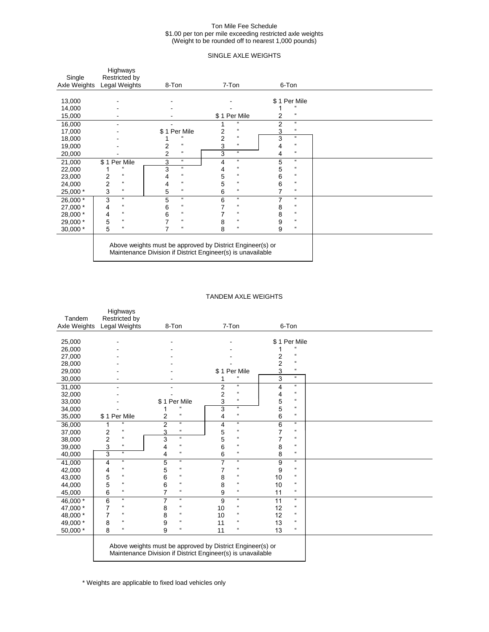#### Ton Mile Fee Schedule \$1.00 per ton per mile exceeding restricted axle weights (Weight to be rounded off to nearest 1,000 pounds)

## SINGLE AXLE WEIGHTS

| Single<br>Axle Weights | Highways<br>Restricted by<br>Legal Weights   | 8-Ton                                        | 7-Ton                                                                                                                    | 6-Ton                                |  |
|------------------------|----------------------------------------------|----------------------------------------------|--------------------------------------------------------------------------------------------------------------------------|--------------------------------------|--|
|                        |                                              |                                              |                                                                                                                          |                                      |  |
| 13,000                 |                                              |                                              |                                                                                                                          | \$1 Per Mile                         |  |
| 14,000                 |                                              |                                              |                                                                                                                          |                                      |  |
| 15,000                 |                                              |                                              | \$1 Per Mile                                                                                                             | $\mathfrak{c}\mathfrak{c}$<br>2      |  |
| 16,000                 |                                              |                                              | $\mathfrak{c}\mathfrak{c}$                                                                                               | $\epsilon\epsilon$<br>$\overline{2}$ |  |
| 17,000                 |                                              | \$1 Per Mile                                 | $\mathfrak{c}\mathfrak{c}$<br>2                                                                                          | $\boldsymbol{\mathfrak{c}}$<br>3     |  |
| 18,000                 |                                              |                                              | $\overline{2}$<br>$\boldsymbol{\mathfrak{c}}$                                                                            | 3<br>$\epsilon\epsilon$              |  |
| 19,000                 |                                              | $\mathfrak{c}\mathfrak{c}$<br>2              | $\mathfrak{c}\mathfrak{c}$<br>3                                                                                          | $\mathfrak{c}\mathfrak{c}$<br>4      |  |
| 20,000                 |                                              | $\overline{2}$<br>$\mathfrak{c}\mathfrak{c}$ | $\epsilon\epsilon$<br>3                                                                                                  | $\mathfrak{c}\mathfrak{c}$<br>4      |  |
| 21,000                 | \$1 Per Mile                                 | $\epsilon\epsilon$<br>3                      | $\boldsymbol{\mathfrak{c}}$<br>4                                                                                         | $\epsilon\epsilon$<br>5              |  |
| 22,000                 | $\epsilon$                                   | $\epsilon\epsilon$<br>3                      | $\mathfrak{c}\mathfrak{c}$<br>4                                                                                          | $\epsilon\epsilon$<br>5              |  |
| 23,000                 | $\overline{c}$<br>$\epsilon\epsilon$         | $\mathfrak{c}\mathfrak{c}$<br>4              | 5<br>$\mathfrak{c}\mathfrak{c}$                                                                                          | 6<br>$\mathfrak{c}\mathfrak{c}$      |  |
| 24,000                 | $\overline{2}$<br>$\mathfrak{c}\mathfrak{c}$ | $\mathfrak{c}\mathfrak{c}$<br>4              | 5<br>$\mathfrak{c}\mathfrak{c}$                                                                                          | 6<br>$\boldsymbol{\mathfrak{c}}$     |  |
| 25,000 *               | 3<br>$\mathfrak{c}\mathfrak{c}$              | $\boldsymbol{\mathfrak{c}}$<br>5             | $\mathfrak{c}\mathfrak{c}$<br>6                                                                                          | 7<br>$\mathfrak{c}\mathfrak{c}$      |  |
| 26,000 *               | $\epsilon$<br>3                              | $\boldsymbol{\mathfrak{u}}$<br>5             | $\epsilon\epsilon$<br>6                                                                                                  | 7<br>$\epsilon\epsilon$              |  |
| 27,000 *               | $\mathfrak{c}\mathfrak{c}$<br>4              | $\epsilon\epsilon$<br>6                      | $\mathfrak{c}\mathfrak{c}$                                                                                               | $\mathfrak{c}\mathfrak{c}$<br>8      |  |
| 28,000 *               | $\mathfrak{c}\mathfrak{c}$<br>4              | $\mathfrak{c}\mathfrak{c}$<br>6              | $\mathfrak{c}\mathfrak{c}$                                                                                               | $\boldsymbol{\mathfrak{c}}$<br>8     |  |
| 29,000 *               | 5<br>$\mathfrak{c}\mathfrak{c}$              | $\mathfrak{c}\mathfrak{c}$                   | $\mathfrak{c}\mathfrak{c}$<br>8                                                                                          | $\boldsymbol{\mathfrak{c}}$<br>9     |  |
| 30,000 *               | 5<br>$\mathfrak{c}\mathfrak{c}$              | $\mathfrak{c}\mathfrak{c}$                   | $\mathfrak{c}\mathfrak{c}$<br>8                                                                                          | 9<br>$\mathfrak{c}\mathfrak{c}$      |  |
|                        |                                              |                                              | Above weights must be approved by District Engineer(s) or<br>Maintenance Division if District Engineer(s) is unavailable |                                      |  |

## TANDEM AXLE WEIGHTS

|              | Highways                                               |                                                             |                                               |                                   |  |
|--------------|--------------------------------------------------------|-------------------------------------------------------------|-----------------------------------------------|-----------------------------------|--|
| Tandem       | Restricted by                                          |                                                             |                                               |                                   |  |
| Axle Weights | Legal Weights                                          | 8-Ton                                                       | 7-Ton                                         | 6-Ton                             |  |
|              |                                                        |                                                             |                                               |                                   |  |
| 25,000       |                                                        |                                                             |                                               | \$1 Per Mile                      |  |
| 26,000       |                                                        |                                                             |                                               |                                   |  |
| 27,000       |                                                        |                                                             |                                               | $\mu$<br>2                        |  |
| 28,000       |                                                        |                                                             |                                               | $\overline{c}$<br>$\epsilon$      |  |
| 29,000       |                                                        |                                                             | \$1 Per Mile                                  | 3<br>$\boldsymbol{\mathfrak{u}}$  |  |
| 30,000       |                                                        |                                                             | $\mathfrak{c}$                                | $\epsilon\epsilon$<br>3           |  |
| 31,000       |                                                        |                                                             | $\mathfrak{a}$<br>$\overline{2}$              | $\boldsymbol{\mathfrak{a}}$<br>4  |  |
| 32,000       |                                                        |                                                             | $\pmb{\mathfrak{u}}$<br>$\overline{2}$        | $\boldsymbol{\mathfrak{u}}$<br>4  |  |
| 33,000       |                                                        | \$1 Per Mile                                                | $\epsilon\epsilon$<br>3                       | $\boldsymbol{\mathfrak{c}}$<br>5  |  |
| 34,000       |                                                        | $\mathfrak{c}\mathfrak{c}$                                  | $\boldsymbol{\mathfrak{a}}$<br>3              | 5<br>$\boldsymbol{\mathfrak{c}}$  |  |
| 35,000       | \$1 Per Mile                                           | $\epsilon$<br>2                                             | $\pmb{\mathfrak{u}}$<br>4                     | $\boldsymbol{\mathfrak{u}}$<br>6  |  |
| 36,000       | $\mathfrak{c}\mathfrak{c}$<br>1                        | $\overline{2}$<br>$\boldsymbol{\mathfrak{a}}$               | $\boldsymbol{\mathfrak{a}}$<br>4              | $\mathfrak{a}$<br>6               |  |
| 37,000       | $\mathfrak{c}\mathfrak{c}$<br>2                        | $\mathfrak{c}\mathfrak{c}$<br>3                             | $\epsilon$<br>5                               | $\mathfrak{c}\mathfrak{c}$<br>7   |  |
| 38,000       | $\overline{\mathbf{c}}$<br>$\boldsymbol{\mathfrak{c}}$ | $\boldsymbol{\mathfrak{c}}$<br>3                            | $\mathfrak{c}\mathfrak{c}$<br>5               | $\epsilon\epsilon$<br>7           |  |
| 39,000       | $\epsilon$<br>3                                        | $\mathfrak{c}\mathfrak{c}$<br>4                             | $\mathfrak{c}\mathfrak{c}$<br>6               | $\boldsymbol{\mathfrak{u}}$<br>8  |  |
| 40,000       | 3<br>$\boldsymbol{\mathfrak{a}}$                       | $\mathfrak{c}\mathfrak{c}$<br>4                             | $\pmb{\mathfrak{u}}$<br>6                     | $\epsilon$<br>8                   |  |
| 41,000       | $\epsilon\epsilon$<br>4                                | $\mathfrak{a}$<br>5                                         | $\boldsymbol{\mathfrak{a}}$<br>$\overline{7}$ | $\epsilon\epsilon$<br>9           |  |
| 42,000       | $\mathfrak{c}\mathfrak{c}$<br>4                        | $\mathfrak{c}\mathfrak{c}$<br>5                             | $\mathfrak{c}\mathfrak{c}$<br>7               | $\boldsymbol{\mathfrak{c}}$<br>9  |  |
| 43,000       | $\mathfrak{c}\mathfrak{c}$<br>5                        | $\mathfrak{c}\mathfrak{c}$<br>6                             | $\boldsymbol{\mathfrak{c}}$<br>8              | $\epsilon\epsilon$<br>10          |  |
| 44,000       | $\mathfrak{c}\mathfrak{c}$<br>5                        | $\mathfrak{c}\mathfrak{c}$<br>6                             | $\mathfrak{c}\mathfrak{c}$<br>8               | $\boldsymbol{\mathfrak{c}}$<br>10 |  |
| 45,000       | $\epsilon$<br>6                                        | $\mathfrak{c}\mathfrak{c}$<br>7                             | $\mathfrak{c}\mathfrak{c}$<br>9               | $\boldsymbol{\mathfrak{c}}$<br>11 |  |
| $46,000*$    | $\epsilon\epsilon$<br>6                                | $\boldsymbol{\mathfrak{c}}$<br>7                            | $\epsilon\epsilon$<br>9                       | $\epsilon\epsilon$<br>11          |  |
| 47,000 *     | $\mathfrak{c}\mathfrak{c}$<br>7                        | $\mathfrak{c}\mathfrak{c}$<br>8                             | $\mathfrak{c}\mathfrak{c}$<br>10              | $\mathfrak{c}\mathfrak{c}$<br>12  |  |
| 48,000 *     | $\mathfrak{c}$<br>7                                    | $\mathfrak{c}$<br>8                                         | $\boldsymbol{\mathfrak{c}}$<br>10             | $\boldsymbol{\mathfrak{c}}$<br>12 |  |
| 49,000 *     | $\mathfrak{c}\mathfrak{c}$<br>8                        | $\mathfrak{c}\mathfrak{c}$<br>9                             | $\mathfrak{c}\mathfrak{c}$<br>11              | $\pmb{\mathfrak{u}}$<br>13        |  |
| 50,000 *     | 8<br>$\mathfrak{c}\mathfrak{c}$                        | 9<br>$\epsilon\epsilon$                                     | $\mathfrak{c}\mathfrak{c}$<br>11              | $\pmb{\mathfrak{u}}$<br>13        |  |
|              |                                                        |                                                             |                                               |                                   |  |
|              |                                                        | Above weights must be approved by District Engineer(s) or   |                                               |                                   |  |
|              |                                                        | Maintenance Division if District Engineer(s) is unavailable |                                               |                                   |  |
|              |                                                        |                                                             |                                               |                                   |  |

\* Weights are applicable to fixed load vehicles only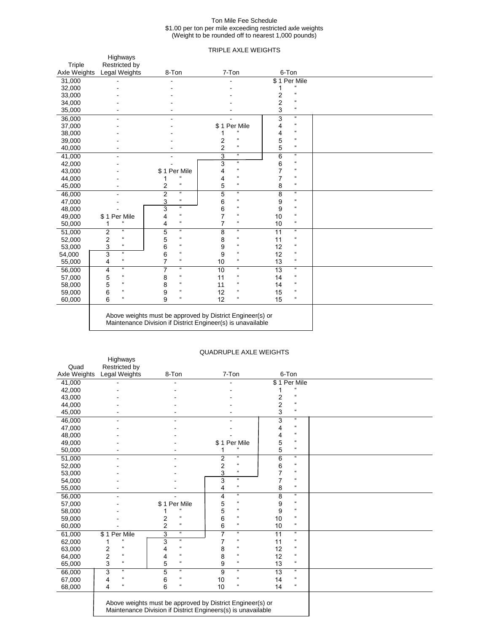#### Ton Mile Fee Schedule \$1.00 per ton per mile exceeding restricted axle weights (Weight to be rounded off to nearest 1,000 pounds)

## TRIPLE AXLE WEIGHTS

| Triple       | Highways                                        |                                  |                                                                                                                          |                                                |  |
|--------------|-------------------------------------------------|----------------------------------|--------------------------------------------------------------------------------------------------------------------------|------------------------------------------------|--|
| Axle Weights | Restricted by<br>Legal Weights                  | 8-Ton                            | 7-Ton                                                                                                                    | 6-Ton                                          |  |
| 31,000       |                                                 |                                  |                                                                                                                          | \$1 Per Mile                                   |  |
| 32,000       |                                                 |                                  |                                                                                                                          |                                                |  |
| 33,000       |                                                 |                                  |                                                                                                                          | $\mu$<br>2                                     |  |
| 34,000       |                                                 |                                  |                                                                                                                          | $\mathfrak{a}$<br>2                            |  |
| 35,000       |                                                 |                                  |                                                                                                                          | 3<br>$\mathfrak{c}\mathfrak{c}$                |  |
| 36,000       |                                                 |                                  |                                                                                                                          | 3<br>$\mathfrak{a}$                            |  |
| 37,000       |                                                 |                                  | \$1 Per Mile                                                                                                             | $\boldsymbol{\mathfrak{c}}$<br>4               |  |
| 38,000       |                                                 |                                  | $\mu$                                                                                                                    | $\mathfrak{c}\mathfrak{c}$<br>4                |  |
| 39,000       |                                                 |                                  | $\mathfrak{c}\mathfrak{c}$<br>2                                                                                          | $\mathfrak{c}\mathfrak{c}$<br>5                |  |
| 40,000       |                                                 |                                  | $\mathfrak{c}\mathfrak{c}$<br>2                                                                                          | $\epsilon\epsilon$<br>5                        |  |
| 41,000       |                                                 |                                  | $\boldsymbol{\mathfrak{u}}$<br>3                                                                                         | $\boldsymbol{\mathfrak{c}}$<br>6               |  |
| 42,000       |                                                 |                                  | $\pmb{\mathfrak{u}}$<br>3                                                                                                | $\epsilon\epsilon$<br>6                        |  |
| 43,000       |                                                 | \$1 Per Mile                     | $\mathfrak{c}\mathfrak{c}$<br>4                                                                                          | $\epsilon\epsilon$                             |  |
| 44,000       |                                                 | $\pmb{\mathfrak{u}}$             | $\mathfrak{c}\mathfrak{c}$<br>4                                                                                          | $\boldsymbol{\mathfrak{c}}$                    |  |
| 45,000       |                                                 | $\boldsymbol{\mathfrak{c}}$<br>2 | $\mathfrak{c}\mathfrak{c}$<br>5                                                                                          | $\boldsymbol{\mathfrak{c}}$<br>8               |  |
| 46,000       |                                                 | $\overline{2}$<br>$\mathfrak u$  | $\mathfrak{a}$<br>5                                                                                                      | $\boldsymbol{\mathfrak{a}}$<br>$\overline{8}$  |  |
| 47,000       |                                                 | $\pmb{\mathfrak{c}}$<br>3        | $\epsilon$<br>6                                                                                                          | $\boldsymbol{\mathfrak{c}}$<br>9               |  |
| 48,000       |                                                 | $\mathfrak{u}$<br>3              | $\mathfrak{c}\mathfrak{c}$<br>6                                                                                          | $\boldsymbol{\mathfrak{c}}$<br>9               |  |
| 49,000       | \$1 Per Mile                                    | $\pmb{\mathfrak{c}}$<br>4        | $\epsilon$<br>7                                                                                                          | $\boldsymbol{\mathfrak{c}}$<br>10              |  |
| 50,000       | $\epsilon$<br>1                                 | $\boldsymbol{\mathfrak{c}}$<br>4 | $\boldsymbol{\mathfrak{c}}$<br>7                                                                                         | $\boldsymbol{\mathfrak{c}}$<br>10              |  |
| 51,000       | $\mathfrak{a}$<br>2                             | $\mathfrak{u}$<br>5              | $\mathfrak{a}$<br>8                                                                                                      | $\boldsymbol{\mathfrak{a}}$<br>11              |  |
| 52,000       | $\overline{\mathbf{c}}$<br>$\pmb{\mathfrak{u}}$ | $\pmb{\mathfrak{u}}$<br>5        | $\mathfrak{c}\mathfrak{c}$<br>8                                                                                          | $\boldsymbol{\mathfrak{c}}$<br>11              |  |
| 53,000       | 3<br>$\pmb{\mathfrak{u}}$                       | $\mathfrak{c}\mathfrak{c}$<br>6  | $\mathfrak{c}\mathfrak{c}$<br>9                                                                                          | $\boldsymbol{\mathfrak{c}}$<br>12              |  |
| 54,000       | $\mathfrak{a}$<br>3                             | $\boldsymbol{\mathfrak{c}}$<br>6 | $\epsilon\epsilon$<br>9                                                                                                  | $\boldsymbol{\mathfrak{c}}$<br>12              |  |
| 55,000       | $\boldsymbol{\mathfrak{c}}$<br>4                | $\boldsymbol{\mathfrak{c}}$<br>7 | $\boldsymbol{\mathfrak{c}}$<br>10                                                                                        | $\boldsymbol{\mathfrak{c}}$<br>13              |  |
| 56,000       | $\mathfrak{a}$<br>4                             | $\mathfrak{a}$<br>7              | $\mathfrak{a}$<br>10                                                                                                     | $\boldsymbol{\mathfrak{a}}$<br>$\overline{13}$ |  |
| 57,000       | 5<br>$\mathfrak{c}\mathfrak{c}$                 | $\boldsymbol{\mathfrak{c}}$<br>8 | $\mathfrak{c}\mathfrak{c}$<br>11                                                                                         | $\epsilon$<br>14                               |  |
| 58,000       | 5<br>$\epsilon$                                 | $\mathfrak{c}\mathfrak{c}$<br>8  | $\mathfrak{c}\mathfrak{c}$<br>11                                                                                         | $\epsilon$<br>14                               |  |
| 59,000       | 6<br>$\epsilon$                                 | $\pmb{\mathfrak{u}}$<br>9        | $\epsilon$<br>12                                                                                                         | $\boldsymbol{\mathfrak{c}}$<br>15              |  |
| 60,000       | $\pmb{\mathfrak{u}}$<br>6                       | $\alpha$<br>9                    | $\pmb{\mathfrak{u}}$<br>12                                                                                               | $\mathfrak{c}\mathfrak{c}$<br>15               |  |
|              |                                                 |                                  | Above weights must be approved by District Engineer(s) or<br>Maintenance Division if District Engineer(s) is unavailable |                                                |  |

### QUADRUPLE AXLE WEIGHTS

| Quad         | Restricted by                        |                                                           |                                  |                                              |  |
|--------------|--------------------------------------|-----------------------------------------------------------|----------------------------------|----------------------------------------------|--|
| Axle Weights | Legal Weights                        | 8-Ton                                                     | 7-Ton                            | 6-Ton                                        |  |
| 41,000       |                                      |                                                           |                                  | \$1 Per Mile                                 |  |
| 42,000       |                                      |                                                           |                                  |                                              |  |
| 43,000       |                                      |                                                           |                                  | $\mathfrak{c}\mathfrak{c}$<br>2              |  |
| 44,000       |                                      |                                                           |                                  | $\epsilon\epsilon$<br>2                      |  |
| 45,000       |                                      |                                                           |                                  | 3<br>$\epsilon\epsilon$                      |  |
| 46,000       |                                      |                                                           |                                  | 3<br>$\epsilon\epsilon$                      |  |
| 47,000       |                                      |                                                           |                                  | $\mathfrak{c}\mathfrak{c}$<br>4              |  |
| 48,000       |                                      |                                                           |                                  | $\mathfrak{c}\mathfrak{c}$<br>4              |  |
| 49,000       |                                      |                                                           | \$1 Per Mile                     | $\boldsymbol{\mathfrak{u}}$<br>5             |  |
| 50,000       |                                      |                                                           | $\epsilon$                       | 5<br>$\mathfrak{c}\mathfrak{c}$              |  |
| 51,000       |                                      |                                                           | $\mathfrak{c}\mathfrak{c}$<br>2  | $\epsilon\epsilon$<br>6                      |  |
| 52,000       |                                      |                                                           | $\epsilon\epsilon$<br>2          | $\mathfrak{c}\mathfrak{c}$<br>6              |  |
| 53,000       |                                      |                                                           | 3<br>$\mathfrak{c}\mathfrak{c}$  | $\overline{7}$<br>$\mathfrak{c}\mathfrak{c}$ |  |
| 54,000       |                                      |                                                           | 3<br>$\boldsymbol{\mathfrak{c}}$ | $\mathfrak{c}\mathfrak{c}$<br>7              |  |
| 55,000       |                                      |                                                           | $\epsilon\epsilon$<br>4          | $\epsilon\epsilon$<br>8                      |  |
| 56,000       |                                      |                                                           | $\boldsymbol{\mathfrak{u}}$<br>4 | $\epsilon\epsilon$<br>8                      |  |
| 57,000       |                                      | \$1 Per Mile                                              | $\alpha$<br>5                    | $\epsilon\epsilon$<br>9                      |  |
| 58,000       |                                      |                                                           | 5<br>$\epsilon\epsilon$          | $\mathfrak{c}\mathfrak{c}$<br>9              |  |
| 59,000       |                                      | $\boldsymbol{\mathfrak{u}}$<br>2                          | $\epsilon\epsilon$<br>6          | $\epsilon\epsilon$<br>10                     |  |
| 60,000       |                                      | $\boldsymbol{\mathfrak{u}}$<br>$\overline{2}$             | $\mathfrak{c}\mathfrak{c}$<br>6  | $\mathfrak{c}\mathfrak{c}$<br>10             |  |
| 61,000       | \$1 Per Mile                         | $\mathfrak{a}$<br>3                                       | $\boldsymbol{\mathfrak{c}}$<br>7 | $\boldsymbol{\mathfrak{c}}$<br>11            |  |
| 62,000       | $\epsilon$                           | $\boldsymbol{\mu}$<br>3                                   | $\mathfrak{c}\mathfrak{c}$       | $\mathfrak{c}\mathfrak{c}$<br>11             |  |
| 63,000       | $\epsilon\epsilon$<br>2              | $\boldsymbol{\mathfrak{c}}$<br>4                          | $\epsilon\epsilon$<br>8          | $\epsilon\epsilon$<br>12                     |  |
| 64,000       | $\overline{c}$<br>$\epsilon\epsilon$ | $\mathfrak{c}\mathfrak{c}$<br>4                           | $\mathfrak{c}\mathfrak{c}$<br>8  | $\mathfrak{c}\mathfrak{c}$<br>12             |  |
| 65,000       | 3<br>$\boldsymbol{\mathfrak{c}}$     | $\epsilon\epsilon$<br>5                                   | $\boldsymbol{\mathfrak{c}}$<br>9 | $\boldsymbol{\mathfrak{c}}$<br>13            |  |
| 66,000       | 3<br>$\boldsymbol{\mathfrak{a}}$     | $\epsilon$<br>5                                           | $\mathfrak{a}$<br>9              | 13<br>$\epsilon\epsilon$                     |  |
| 67,000       | $\mathfrak{c}\mathfrak{c}$<br>4      | $\mathfrak{c}\mathfrak{c}$<br>6                           | $\epsilon\epsilon$<br>10         | $\mathfrak{c}\mathfrak{c}$<br>14             |  |
| 68,000       | $\boldsymbol{\mathfrak{c}}$<br>4     | $\boldsymbol{\mathfrak{u}}$<br>6                          | $\mathfrak{c}\mathfrak{c}$<br>10 | $\boldsymbol{\mathfrak{c}}$<br>14            |  |
|              |                                      | Above weights must be approved by District Engineer(s) or |                                  |                                              |  |

Maintenance Division if District Engineers(s) is unavailable

Highways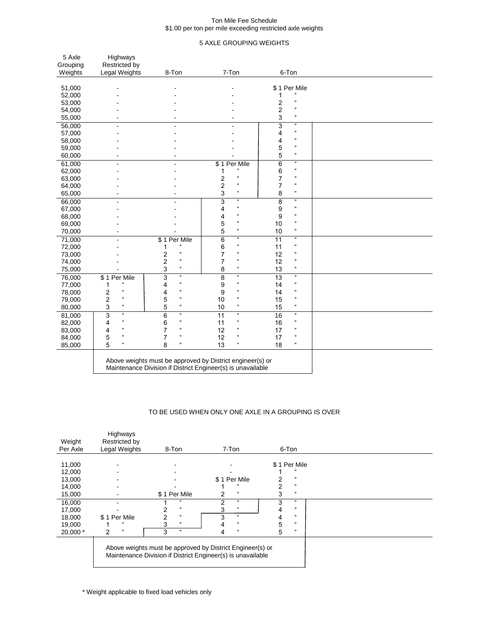#### Ton Mile Fee Schedule \$1.00 per ton per mile exceeding restricted axle weights

## 5 AXLE GROUPING WEIGHTS

| 5 Axle<br>Grouping | Highways<br>Restricted by        |                                               |                                                           |                                                |  |
|--------------------|----------------------------------|-----------------------------------------------|-----------------------------------------------------------|------------------------------------------------|--|
| Weights            | Legal Weights                    | 8-Ton                                         | 7-Ton                                                     | 6-Ton                                          |  |
|                    |                                  |                                               |                                                           |                                                |  |
| 51,000             |                                  |                                               |                                                           | \$1 Per Mile                                   |  |
| 52,000             |                                  |                                               |                                                           | $\mathfrak{c}$<br>1                            |  |
| 53,000             |                                  |                                               |                                                           | $\epsilon$<br>2<br>$\boldsymbol{\mathfrak{u}}$ |  |
| 54,000             |                                  |                                               |                                                           | 2                                              |  |
| 55,000             |                                  |                                               |                                                           | $\mathfrak{c}\mathfrak{c}$<br>3                |  |
| 56,000             | ä,                               | ä,                                            | L.                                                        | $\boldsymbol{\mathfrak{a}}$<br>3               |  |
| 57,000             |                                  |                                               |                                                           | $\mathfrak{c}\mathfrak{c}$<br>4                |  |
| 58,000             |                                  |                                               |                                                           | $\boldsymbol{\mathfrak{c}}$<br>4               |  |
| 59,000             |                                  |                                               |                                                           | $\pmb{\mathfrak{c}}$<br>5                      |  |
| 60,000             |                                  |                                               |                                                           | $\boldsymbol{\mathfrak{u}}$<br>5               |  |
| 61,000             | ÷.                               | $\blacksquare$                                | \$1 Per Mile                                              | $\overline{6}$<br>$\mathfrak{a}$               |  |
| 62,000             |                                  |                                               | $\mathfrak{a}$<br>1                                       | $\mathfrak{c}\mathfrak{c}$<br>6                |  |
| 63,000             |                                  |                                               | $\epsilon$<br>2                                           | $\boldsymbol{\mathfrak{c}}$<br>$\overline{7}$  |  |
| 64,000             |                                  |                                               | $\overline{c}$<br>$\boldsymbol{\mathfrak{c}}$             | $\overline{7}$<br>$\pmb{\mathfrak{u}}$         |  |
| 65,000             | $\blacksquare$                   | ٠                                             | $\boldsymbol{\mathfrak{c}}$<br>3                          | $\pmb{\mathfrak{c}}$<br>8                      |  |
| 66,000             | L,                               | ä,                                            | $\mathfrak{u}$<br>3                                       | $\mathfrak{u}$<br>$\overline{8}$               |  |
| 67,000             |                                  |                                               | $\boldsymbol{\mathfrak{c}}$<br>4                          | $\pmb{\mathfrak{c}}$<br>9                      |  |
| 68,000             |                                  |                                               | $\mathfrak{c}\mathfrak{c}$<br>4                           | $\boldsymbol{\mathfrak{c}}$<br>9               |  |
| 69,000             |                                  |                                               | $\mathfrak{c}\mathfrak{c}$<br>5                           | $\boldsymbol{\mathfrak{c}}$<br>10              |  |
| 70,000             |                                  |                                               | 5<br>$\boldsymbol{\mathfrak{c}}$                          | $\pmb{\mathfrak{c}}$<br>10                     |  |
| 71,000             | $\overline{a}$                   | \$1 Per Mile                                  | $\mathfrak{u}$<br>$\overline{6}$                          | $\mathfrak{a}$<br>$\overline{11}$              |  |
| 72,000             |                                  | $\mathfrak{c}\mathfrak{c}$<br>1               | $\mathfrak{c}\mathfrak{c}$<br>6                           | $\boldsymbol{\mathfrak{u}}$<br>11              |  |
| 73,000             |                                  | $\mathfrak{c}\mathfrak{c}$<br>2               | $\mathfrak{a}$<br>7                                       | $\mathfrak{c}\mathfrak{c}$<br>12               |  |
| 74,000             |                                  | $\boldsymbol{\mathfrak{c}}$<br>2              | $\mathfrak{c}\mathfrak{c}$<br>$\overline{7}$              | $\pmb{\mathfrak{u}}$<br>12                     |  |
| 75,000             |                                  | 3<br>$\boldsymbol{\mathfrak{c}}$              | $\boldsymbol{\mathfrak{c}}$<br>8                          | $\pmb{\mathfrak{u}}$<br>13                     |  |
| 76,000             | \$1 Per Mile                     | 3<br>$\boldsymbol{\mathfrak{a}}$              | $\boldsymbol{\mathfrak{c}}$<br>8                          | $\mathfrak{a}$<br>$\overline{13}$              |  |
| 77,000             | $\boldsymbol{\mathfrak{u}}$<br>1 | $\boldsymbol{\mathfrak{c}}$<br>4              | $\boldsymbol{\mathfrak{c}}$<br>9                          | $\pmb{\mathfrak{c}}$<br>14                     |  |
| 78,000             | $\mathfrak{c}\mathfrak{c}$<br>2  | $\mathfrak{c}\mathfrak{c}$<br>4               | $\mathfrak{c}\mathfrak{c}$<br>9                           | $\boldsymbol{\mathfrak{u}}$<br>14              |  |
| 79,000             | $\mathfrak{c}\mathfrak{c}$<br>2  | $\mathfrak{c}\mathfrak{c}$<br>5               | $\mathfrak{c}\mathfrak{c}$<br>10                          | $\boldsymbol{\mathfrak{c}}$<br>15              |  |
| 80,000             | $\boldsymbol{\mathfrak{u}}$<br>3 | $\boldsymbol{\mathfrak{c}}$<br>5              | $\boldsymbol{\mathfrak{u}}$<br>10                         | $\pmb{\mathfrak{c}}$<br>15                     |  |
| 81,000             | 3<br>$\boldsymbol{\mathfrak{a}}$ | $\overline{6}$<br>$\boldsymbol{\mathfrak{a}}$ | $\mathfrak{a}$<br>11                                      | $\boldsymbol{\mathfrak{u}}$<br>16              |  |
| 82,000             | $\boldsymbol{\mathfrak{c}}$<br>4 | $\epsilon\epsilon$<br>6                       | $\mathfrak{c}\mathfrak{c}$<br>11                          | $\pmb{\mathfrak{u}}$<br>16                     |  |
| 83,000             | $\boldsymbol{\mathfrak{u}}$<br>4 | $\mathfrak{c}\mathfrak{c}$<br>7               | $\mathfrak{c}\mathfrak{c}$<br>12                          | $\boldsymbol{\mathfrak{u}}$<br>17              |  |
| 84,000             | $\epsilon$<br>5                  | $\epsilon\epsilon$<br>7                       | $\mathfrak{c}\mathfrak{c}$<br>12                          | $\epsilon\epsilon$<br>17                       |  |
| 85,000             | 5<br>$\epsilon\epsilon$          | $\mathfrak{c}\mathfrak{c}$<br>8               | $\mathfrak{c}\mathfrak{c}$<br>13                          | $\boldsymbol{\mathfrak{c}}$<br>18              |  |
|                    |                                  |                                               | Above weights must be approved by District engineer(s) or |                                                |  |

Maintenance Division if District Engineer(s) is unavailable

## TO BE USED WHEN ONLY ONE AXLE IN A GROUPING IS OVER

| Weight   | Highways<br>Restricted by |                                 |                                                                                                                          |                                 |  |
|----------|---------------------------|---------------------------------|--------------------------------------------------------------------------------------------------------------------------|---------------------------------|--|
| Per Axle | Legal Weights             | 8-Ton                           | 7-Ton                                                                                                                    | 6-Ton                           |  |
|          |                           |                                 |                                                                                                                          |                                 |  |
| 11,000   |                           |                                 |                                                                                                                          | \$1 Per Mile                    |  |
| 12,000   |                           |                                 |                                                                                                                          |                                 |  |
| 13,000   |                           |                                 | Per Mile<br>\$1                                                                                                          | $\epsilon$                      |  |
| 14,000   |                           |                                 |                                                                                                                          | $\epsilon\epsilon$              |  |
| 15,000   |                           | \$1 Per Mile                    | $\epsilon$<br>2                                                                                                          | $\epsilon\epsilon$<br>3         |  |
| 16,000   |                           | $\epsilon$                      | $\mathfrak{c}\mathfrak{c}$<br>2                                                                                          | 3<br>$\epsilon\epsilon$         |  |
| 17,000   |                           | $\mathfrak{c}\mathfrak{c}$      | $^{16}$                                                                                                                  | $\epsilon\epsilon$<br>4         |  |
| 18,000   | Per Mile<br>\$1           | $\mathfrak{c}\mathfrak{c}$<br>っ | $\mathfrak{c}\mathfrak{c}$<br>3                                                                                          | $\epsilon$<br>4                 |  |
| 19,000   |                           | $\boldsymbol{\mu}$              | $\epsilon$                                                                                                               | 5<br>$\epsilon\epsilon$         |  |
| 20,000 * | $\alpha$<br>2             | $\epsilon\epsilon$<br>3         | $\epsilon$                                                                                                               | 5<br>$\mathfrak{c}\mathfrak{c}$ |  |
|          |                           |                                 | Above weights must be approved by District Engineer(s) or<br>Maintenance Division if District Engineer(s) is unavailable |                                 |  |

\* Weight applicable to fixed load vehicles only